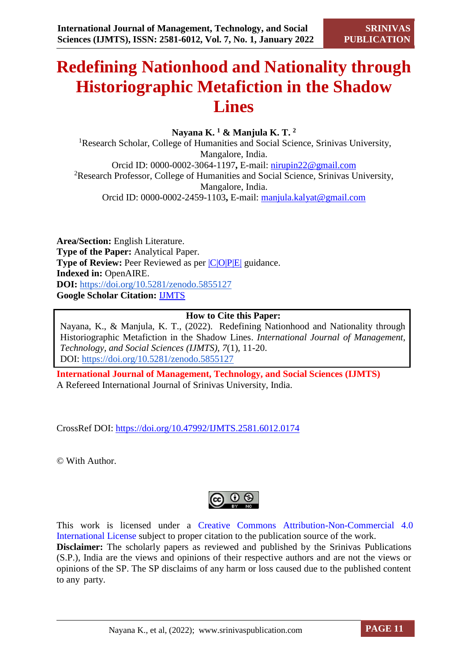# **Redefining Nationhood and Nationality through Historiographic Metafiction in the Shadow Lines**

**Nayana K. <sup>1</sup> & Manjula K. T. <sup>2</sup>**

<sup>1</sup>Research Scholar, College of Humanities and Social Science, Srinivas University, Mangalore, India. Orcid ID: 0000-0002-3064-1197**,** E-mail: [nirupin22@gmail.com](mailto:nirupin22@gmail.com)  <sup>2</sup>Research Professor, College of Humanities and Social Science, Srinivas University, Mangalore, India. Orcid ID: 0000-0002-2459-1103**,** E-mail: [manjula.kalyat@gmail.com](mailto:manjula.kalyat@gmail.com)

**Area/Section:** English Literature. **Type of the Paper:** Analytical Paper. **Type of Review:** Peer Reviewed as per  $|C|O||P|E|$  guidance. **Indexed in:** OpenAIRE. **DOI:** <https://doi.org/10.5281/zenodo.5855127> **Google Scholar Citation:** [IJMTS](https://scholar.google.com/citations?user=bphF0BQAAAAJ)

#### **How to Cite this Paper:**

Nayana, K., & Manjula, K. T., (2022). Redefining Nationhood and Nationality through Historiographic Metafiction in the Shadow Lines. *International Journal of Management, Technology, and Social Sciences (IJMTS), 7*(1), 11-20. DOI:<https://doi.org/10.5281/zenodo.5855127>

**International Journal of Management, Technology, and Social Sciences (IJMTS)** A Refereed International Journal of Srinivas University, India.

CrossRef DOI: [https://doi.org/10.47992/IJMTS.2581.6012.0174](https://search.crossref.org/?q=10.47992%2FIJMTS.2581.6012.0174&from_ui=yes)

© With Author.



This work is licensed under a Creative Commons Attribution-Non-Commercial 4.0 International License subject to proper citation to the publication source of the work. **Disclaimer:** The scholarly papers as reviewed and published by the Srinivas Publications (S.P.), India are the views and opinions of their respective authors and are not the views or opinions of the SP. The SP disclaims of any harm or loss caused due to the published content to any party.

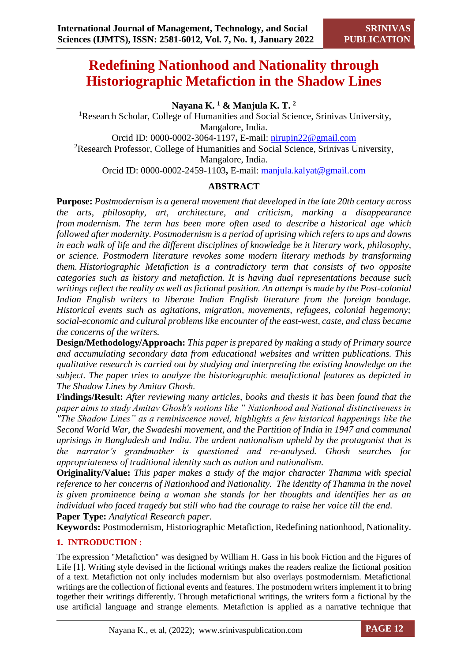# **Redefining Nationhood and Nationality through Historiographic Metafiction in the Shadow Lines**

**Nayana K. <sup>1</sup> & Manjula K. T. <sup>2</sup>**

<sup>1</sup>Research Scholar, College of Humanities and Social Science, Srinivas University, Mangalore, India. Orcid ID: 0000-0002-3064-1197**,** E-mail: [nirupin22@gmail.com](mailto:nirupin22@gmail.com)  <sup>2</sup>Research Professor, College of Humanities and Social Science, Srinivas University, Mangalore, India. Orcid ID: 0000-0002-2459-1103**,** E-mail: [manjula.kalyat@gmail.com](mailto:manjula.kalyat@gmail.com)

## **ABSTRACT**

**Purpose:** *Postmodernism is a general movement that developed in the late 20th century across [the arts,](https://en.wikipedia.org/wiki/The_arts) philosophy, art, architecture, and criticism, marking a disappearance from [modernism.](https://en.wikipedia.org/wiki/Modernism) The term has been more often used to describe [a historical age which](https://en.wikipedia.org/wiki/Postmodernity)  [followed after modernity.](https://en.wikipedia.org/wiki/Postmodernity) Postmodernism is a period of uprising which refers to ups and downs in each walk of life and the different disciplines of knowledge be it literary work, philosophy, or science. Postmodern literature revokes some modern literary methods by transforming them. Historiographic Metafiction is a contradictory term that consists of two opposite categories such as history and metafiction. It is having dual representations because such writings reflect the reality as well as fictional position. An attempt is made by the Post-colonial Indian English writers to liberate Indian English literature from the foreign bondage. Historical events such as agitations, migration, movements, refugees, colonial hegemony; social-economic and cultural problems like encounter of the east-west, caste, and class became the concerns of the writers.*

**Design/Methodology/Approach:** *This paper is prepared by making a study of Primary source and accumulating secondary data from educational websites and written publications. This qualitative research is carried out by studying and interpreting the existing knowledge on the subject. The paper tries to analyze the historiographic metafictional features as depicted in The Shadow Lines by Amitav Ghosh.* 

**Findings/Result:** *After reviewing many articles, books and thesis it has been found that the paper aims to study Amitav Ghosh's notions like " Nationhood and National distinctiveness in "The Shadow Lines" as a reminiscence novel, highlights a few historical happenings like the Second World War, the Swadeshi movement, and the Partition of India in 1947 and communal uprisings in Bangladesh and India. The ardent nationalism upheld by the protagonist that is the narrator's grandmother is questioned and re-analysed. Ghosh searches for appropriateness of traditional identity such as nation and nationalism.* 

**Originality/Value:** *This paper makes a study of the major character Thamma with special reference to her concerns of Nationhood and Nationality. The identity of Thamma in the novel is given prominence being a woman she stands for her thoughts and identifies her as an individual who faced tragedy but still who had the courage to raise her voice till the end.* **Paper Type:** *Analytical Research paper.*

**Keywords:** Postmodernism, Historiographic Metafiction, Redefining nationhood, Nationality.

### **1. INTRODUCTION :**

The expression "Metafiction" was designed by William H. Gass in his book Fiction and the Figures of Life [1]. Writing style devised in the fictional writings makes the readers realize the fictional position of a text. Metafiction not only includes modernism but also overlays postmodernism. Metafictional writings are the collection of fictional events and features. The postmodern writers implement it to bring together their writings differently. Through metafictional writings, the writers form a fictional by the use artificial language and strange elements. Metafiction is applied as a narrative technique that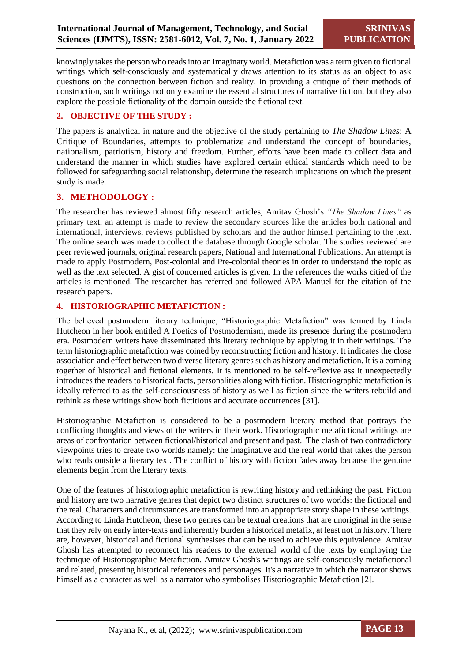knowingly takes the person who reads into an imaginary world. Metafiction was a term given to fictional writings which self-consciously and systematically draws attention to its status as an object to ask questions on the connection between fiction and reality. In providing a critique of their methods of construction, such writings not only examine the essential structures of narrative fiction, but they also explore the possible fictionality of the domain outside the fictional text.

#### **2. OBJECTIVE OF THE STUDY :**

The papers is analytical in nature and the objective of the study pertaining to *The Shadow Lines*: A Critique of Boundaries, attempts to problematize and understand the concept of boundaries, nationalism, patriotism, history and freedom. Further, efforts have been made to collect data and understand the manner in which studies have explored certain ethical standards which need to be followed for safeguarding social relationship, determine the research implications on which the present study is made.

#### **3. METHODOLOGY :**

The researcher has reviewed almost fifty research articles, Amitav Ghosh's *"The Shadow Lines"* as primary text, an attempt is made to review the secondary sources like the articles both national and international, interviews, reviews published by scholars and the author himself pertaining to the text. The online search was made to collect the database through Google scholar. The studies reviewed are peer reviewed journals, original research papers, National and International Publications. An attempt is made to apply Postmodern, Post-colonial and Pre-colonial theories in order to understand the topic as well as the text selected. A gist of concerned articles is given. In the references the works citied of the articles is mentioned. The researcher has referred and followed APA Manuel for the citation of the research papers.

#### **4. HISTORIOGRAPHIC METAFICTION :**

The believed postmodern literary technique, "Historiographic Metafiction" was termed by Linda Hutcheon in her book entitled A Poetics of Postmodernism, made its presence during the postmodern era. Postmodern writers have disseminated this literary technique by applying it in their writings. The term historiographic metafiction was coined by reconstructing fiction and history. It indicates the close association and effect between two diverse literary genres such as history and metafiction. It is a coming together of historical and fictional elements. It is mentioned to be self-reflexive ass it unexpectedly introduces the readers to historical facts, personalities along with fiction. Historiographic metafiction is ideally referred to as the self-consciousness of history as well as fiction since the writers rebuild and rethink as these writings show both fictitious and accurate occurrences [31].

Historiographic Metafiction is considered to be a postmodern literary method that portrays the conflicting thoughts and views of the writers in their work. Historiographic metafictional writings are areas of confrontation between fictional/historical and present and past. The clash of two contradictory viewpoints tries to create two worlds namely: the imaginative and the real world that takes the person who reads outside a literary text. The conflict of history with fiction fades away because the genuine elements begin from the literary texts.

One of the features of historiographic metafiction is rewriting history and rethinking the past. Fiction and history are two narrative genres that depict two distinct structures of two worlds: the fictional and the real. Characters and circumstances are transformed into an appropriate story shape in these writings. According to Linda Hutcheon, these two genres can be textual creations that are unoriginal in the sense that they rely on early inter-texts and inherently burden a historical metafix, at least not in history. There are, however, historical and fictional synthesises that can be used to achieve this equivalence. Amitav Ghosh has attempted to reconnect his readers to the external world of the texts by employing the technique of Historiographic Metafiction. Amitav Ghosh's writings are self-consciously metafictional and related, presenting historical references and personages. It's a narrative in which the narrator shows himself as a character as well as a narrator who symbolises Historiographic Metafiction [2].

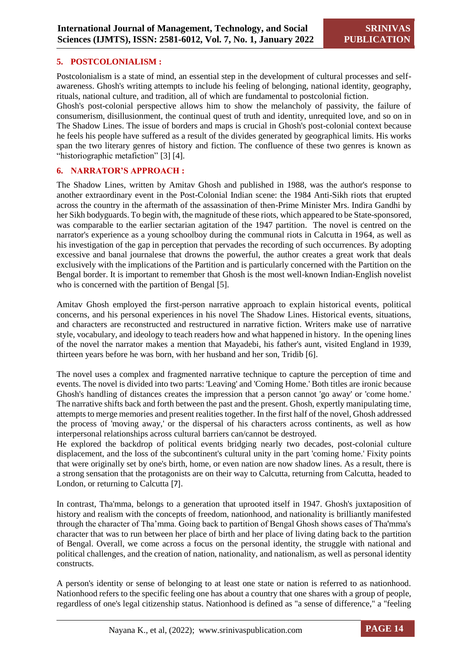#### **5. POSTCOLONIALISM :**

Postcolonialism is a state of mind, an essential step in the development of cultural processes and selfawareness. Ghosh's writing attempts to include his feeling of belonging, national identity, geography, rituals, national culture, and tradition, all of which are fundamental to postcolonial fiction.

Ghosh's post-colonial perspective allows him to show the melancholy of passivity, the failure of consumerism, disillusionment, the continual quest of truth and identity, unrequited love, and so on in The Shadow Lines. The issue of borders and maps is crucial in Ghosh's post-colonial context because he feels his people have suffered as a result of the divides generated by geographical limits. His works span the two literary genres of history and fiction. The confluence of these two genres is known as "historiographic metafiction" [3] [4].

#### **6. NARRATOR'S APPROACH :**

The Shadow Lines, written by Amitav Ghosh and published in 1988, was the author's response to another extraordinary event in the Post-Colonial Indian scene: the 1984 Anti-Sikh riots that erupted across the country in the aftermath of the assassination of then-Prime Minister Mrs. Indira Gandhi by her Sikh bodyguards. To begin with, the magnitude of these riots, which appeared to be State-sponsored, was comparable to the earlier sectarian agitation of the 1947 partition. The novel is centred on the narrator's experience as a young schoolboy during the communal riots in Calcutta in 1964, as well as his investigation of the gap in perception that pervades the recording of such occurrences. By adopting excessive and banal journalese that drowns the powerful, the author creates a great work that deals exclusively with the implications of the Partition and is particularly concerned with the Partition on the Bengal border. It is important to remember that Ghosh is the most well-known Indian-English novelist who is concerned with the partition of Bengal [5].

Amitav Ghosh employed the first-person narrative approach to explain historical events, political concerns, and his personal experiences in his novel The Shadow Lines. Historical events, situations, and characters are reconstructed and restructured in narrative fiction. Writers make use of narrative style, vocabulary, and ideology to teach readers how and what happened in history. In the opening lines of the novel the narrator makes a mention that Mayadebi, his father's aunt, visited England in 1939, thirteen years before he was born, with her husband and her son, Tridib [6].

The novel uses a complex and fragmented narrative technique to capture the perception of time and events. The novel is divided into two parts: 'Leaving' and 'Coming Home.' Both titles are ironic because Ghosh's handling of distances creates the impression that a person cannot 'go away' or 'come home.' The narrative shifts back and forth between the past and the present. Ghosh, expertly manipulating time, attempts to merge memories and present realities together. In the first half of the novel, Ghosh addressed the process of 'moving away,' or the dispersal of his characters across continents, as well as how interpersonal relationships across cultural barriers can/cannot be destroyed.

He explored the backdrop of political events bridging nearly two decades, post-colonial culture displacement, and the loss of the subcontinent's cultural unity in the part 'coming home.' Fixity points that were originally set by one's birth, home, or even nation are now shadow lines. As a result, there is a strong sensation that the protagonists are on their way to Calcutta, returning from Calcutta, headed to London, or returning to Calcutta [7].

In contrast, Tha'mma, belongs to a generation that uprooted itself in 1947. Ghosh's juxtaposition of history and realism with the concepts of freedom, nationhood, and nationality is brilliantly manifested through the character of Tha'mma. Going back to partition of Bengal Ghosh shows cases of Tha'mma's character that was to run between her place of birth and her place of living dating back to the partition of Bengal. Overall, we come across a focus on the personal identity, the struggle with national and political challenges, and the creation of nation, nationality, and nationalism, as well as personal identity constructs.

A person's identity or sense of belonging to at least one state or nation is referred to as nationhood. Nationhood refers to the specific feeling one has about a country that one shares with a group of people, regardless of one's legal citizenship status. Nationhood is defined as "a sense of difference," a "feeling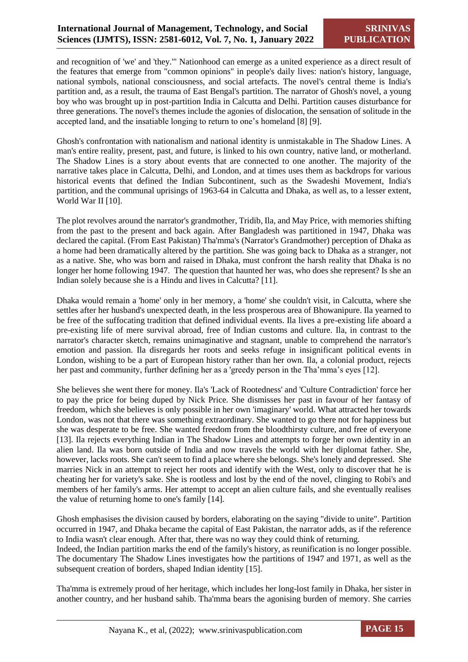and recognition of 'we' and 'they.'" Nationhood can emerge as a united experience as a direct result of the features that emerge from "common opinions" in people's daily lives: nation's history, language, national symbols, national consciousness, and social artefacts. The novel's central theme is India's partition and, as a result, the trauma of East Bengal's partition. The narrator of Ghosh's novel, a young boy who was brought up in post-partition India in Calcutta and Delhi. Partition causes disturbance for three generations. The novel's themes include the agonies of dislocation, the sensation of solitude in the accepted land, and the insatiable longing to return to one's homeland [8] [9].

Ghosh's confrontation with nationalism and national identity is unmistakable in The Shadow Lines. A man's entire reality, present, past, and future, is linked to his own country, native land, or motherland. The Shadow Lines is a story about events that are connected to one another. The majority of the narrative takes place in Calcutta, Delhi, and London, and at times uses them as backdrops for various historical events that defined the Indian Subcontinent, such as the Swadeshi Movement, India's partition, and the communal uprisings of 1963-64 in Calcutta and Dhaka, as well as, to a lesser extent, World War II [10].

The plot revolves around the narrator's grandmother, Tridib, Ila, and May Price, with memories shifting from the past to the present and back again. After Bangladesh was partitioned in 1947, Dhaka was declared the capital. (From East Pakistan) Tha'mma's (Narrator's Grandmother) perception of Dhaka as a home had been dramatically altered by the partition. She was going back to Dhaka as a stranger, not as a native. She, who was born and raised in Dhaka, must confront the harsh reality that Dhaka is no longer her home following 1947. The question that haunted her was, who does she represent? Is she an Indian solely because she is a Hindu and lives in Calcutta? [11].

Dhaka would remain a 'home' only in her memory, a 'home' she couldn't visit, in Calcutta, where she settles after her husband's unexpected death, in the less prosperous area of Bhowanipure. Ila yearned to be free of the suffocating tradition that defined individual events. Ila lives a pre-existing life aboard a pre-existing life of mere survival abroad, free of Indian customs and culture. Ila, in contrast to the narrator's character sketch, remains unimaginative and stagnant, unable to comprehend the narrator's emotion and passion. Ila disregards her roots and seeks refuge in insignificant political events in London, wishing to be a part of European history rather than her own. Ila, a colonial product, rejects her past and community, further defining her as a 'greedy person in the Tha'mma's eyes [12].

She believes she went there for money. Ila's 'Lack of Rootedness' and 'Culture Contradiction' force her to pay the price for being duped by Nick Price. She dismisses her past in favour of her fantasy of freedom, which she believes is only possible in her own 'imaginary' world. What attracted her towards London, was not that there was something extraordinary. She wanted to go there not for happiness but she was desperate to be free. She wanted freedom from the bloodthirsty culture, and free of everyone [13]. Ila rejects everything Indian in The Shadow Lines and attempts to forge her own identity in an alien land. Ila was born outside of India and now travels the world with her diplomat father. She, however, lacks roots. She can't seem to find a place where she belongs. She's lonely and depressed. She marries Nick in an attempt to reject her roots and identify with the West, only to discover that he is cheating her for variety's sake. She is rootless and lost by the end of the novel, clinging to Robi's and members of her family's arms. Her attempt to accept an alien culture fails, and she eventually realises the value of returning home to one's family [14].

Ghosh emphasises the division caused by borders, elaborating on the saying "divide to unite". Partition occurred in 1947, and Dhaka became the capital of East Pakistan, the narrator adds, as if the reference to India wasn't clear enough. After that, there was no way they could think of returning.

Indeed, the Indian partition marks the end of the family's history, as reunification is no longer possible. The documentary The Shadow Lines investigates how the partitions of 1947 and 1971, as well as the subsequent creation of borders, shaped Indian identity [15].

Tha'mma is extremely proud of her heritage, which includes her long-lost family in Dhaka, her sister in another country, and her husband sahib. Tha'mma bears the agonising burden of memory. She carries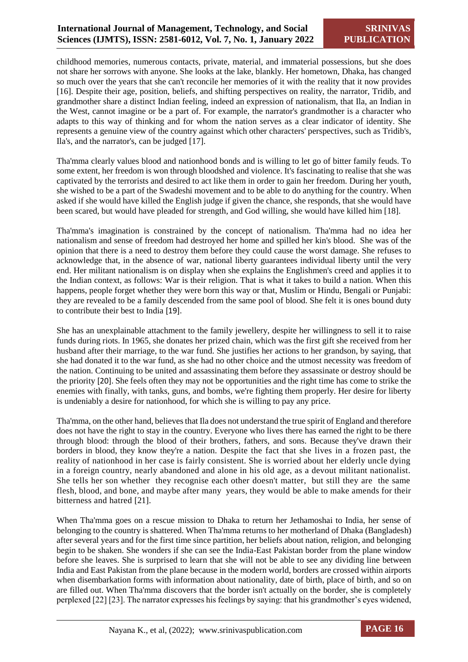childhood memories, numerous contacts, private, material, and immaterial possessions, but she does not share her sorrows with anyone. She looks at the lake, blankly. Her hometown, Dhaka, has changed so much over the years that she can't reconcile her memories of it with the reality that it now provides [16]. Despite their age, position, beliefs, and shifting perspectives on reality, the narrator, Tridib, and grandmother share a distinct Indian feeling, indeed an expression of nationalism, that Ila, an Indian in the West, cannot imagine or be a part of. For example, the narrator's grandmother is a character who adapts to this way of thinking and for whom the nation serves as a clear indicator of identity. She represents a genuine view of the country against which other characters' perspectives, such as Tridib's, Ila's, and the narrator's, can be judged [17].

Tha'mma clearly values blood and nationhood bonds and is willing to let go of bitter family feuds. To some extent, her freedom is won through bloodshed and violence. It's fascinating to realise that she was captivated by the terrorists and desired to act like them in order to gain her freedom. During her youth, she wished to be a part of the Swadeshi movement and to be able to do anything for the country. When asked if she would have killed the English judge if given the chance, she responds, that she would have been scared, but would have pleaded for strength, and God willing, she would have killed him [18].

Tha'mma's imagination is constrained by the concept of nationalism. Tha'mma had no idea her nationalism and sense of freedom had destroyed her home and spilled her kin's blood. She was of the opinion that there is a need to destroy them before they could cause the worst damage. She refuses to acknowledge that, in the absence of war, national liberty guarantees individual liberty until the very end. Her militant nationalism is on display when she explains the Englishmen's creed and applies it to the Indian context, as follows: War is their religion. That is what it takes to build a nation. When this happens, people forget whether they were born this way or that, Muslim or Hindu, Bengali or Punjabi: they are revealed to be a family descended from the same pool of blood. She felt it is ones bound duty to contribute their best to India [19].

She has an unexplainable attachment to the family jewellery, despite her willingness to sell it to raise funds during riots. In 1965, she donates her prized chain, which was the first gift she received from her husband after their marriage, to the war fund. She justifies her actions to her grandson, by saying, that she had donated it to the war fund, as she had no other choice and the utmost necessity was freedom of the nation. Continuing to be united and assassinating them before they assassinate or destroy should be the priority [20]. She feels often they may not be opportunities and the right time has come to strike the enemies with finally, with tanks, guns, and bombs, we're fighting them properly. Her desire for liberty is undeniably a desire for nationhood, for which she is willing to pay any price.

Tha'mma, on the other hand, believes that Ila does not understand the true spirit of England and therefore does not have the right to stay in the country. Everyone who lives there has earned the right to be there through blood: through the blood of their brothers, fathers, and sons. Because they've drawn their borders in blood, they know they're a nation. Despite the fact that she lives in a frozen past, the reality of nationhood in her case is fairly consistent. She is worried about her elderly uncle dying in a foreign country, nearly abandoned and alone in his old age, as a devout militant nationalist. She tells her son whether they recognise each other doesn't matter, but still they are the same flesh, blood, and bone, and maybe after many years, they would be able to make amends for their bitterness and hatred [21].

When Tha'mma goes on a rescue mission to Dhaka to return her Jethamoshai to India, her sense of belonging to the country is shattered. When Tha'mma returns to her motherland of Dhaka (Bangladesh) after several years and for the first time since partition, her beliefs about nation, religion, and belonging begin to be shaken. She wonders if she can see the India-East Pakistan border from the plane window before she leaves. She is surprised to learn that she will not be able to see any dividing line between India and East Pakistan from the plane because in the modern world, borders are crossed within airports when disembarkation forms with information about nationality, date of birth, place of birth, and so on are filled out. When Tha'mma discovers that the border isn't actually on the border, she is completely perplexed [22] [23]. The narrator expresses his feelings by saying: that his grandmother's eyes widened,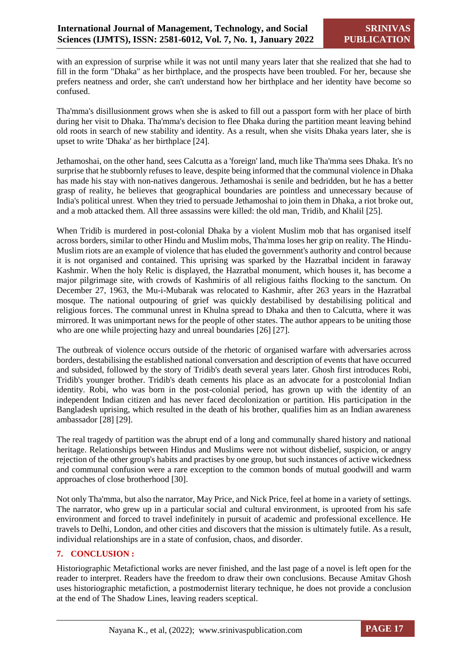with an expression of surprise while it was not until many years later that she realized that she had to fill in the form "Dhaka" as her birthplace, and the prospects have been troubled. For her, because she prefers neatness and order, she can't understand how her birthplace and her identity have become so confused.

Tha'mma's disillusionment grows when she is asked to fill out a passport form with her place of birth during her visit to Dhaka. Tha'mma's decision to flee Dhaka during the partition meant leaving behind old roots in search of new stability and identity. As a result, when she visits Dhaka years later, she is upset to write 'Dhaka' as her birthplace [24].

Jethamoshai, on the other hand, sees Calcutta as a 'foreign' land, much like Tha'mma sees Dhaka. It's no surprise that he stubbornly refuses to leave, despite being informed that the communal violence in Dhaka has made his stay with non-natives dangerous. Jethamoshai is senile and bedridden, but he has a better grasp of reality, he believes that geographical boundaries are pointless and unnecessary because of India's political unrest. When they tried to persuade Jethamoshai to join them in Dhaka, a riot broke out, and a mob attacked them. All three assassins were killed: the old man, Tridib, and Khalil [25].

When Tridib is murdered in post-colonial Dhaka by a violent Muslim mob that has organised itself across borders, similar to other Hindu and Muslim mobs, Tha'mma loses her grip on reality. The Hindu-Muslim riots are an example of violence that has eluded the government's authority and control because it is not organised and contained. This uprising was sparked by the Hazratbal incident in faraway Kashmir. When the holy Relic is displayed, the Hazratbal monument, which houses it, has become a major pilgrimage site, with crowds of Kashmiris of all religious faiths flocking to the sanctum. On December 27, 1963, the Mu-i-Mubarak was relocated to Kashmir, after 263 years in the Hazratbal mosque. The national outpouring of grief was quickly destabilised by destabilising political and religious forces. The communal unrest in Khulna spread to Dhaka and then to Calcutta, where it was mirrored. It was unimportant news for the people of other states. The author appears to be uniting those who are one while projecting hazy and unreal boundaries [26] [27].

The outbreak of violence occurs outside of the rhetoric of organised warfare with adversaries across borders, destabilising the established national conversation and description of events that have occurred and subsided, followed by the story of Tridib's death several years later. Ghosh first introduces Robi, Tridib's younger brother. Tridib's death cements his place as an advocate for a postcolonial Indian identity. Robi, who was born in the post-colonial period, has grown up with the identity of an independent Indian citizen and has never faced decolonization or partition. His participation in the Bangladesh uprising, which resulted in the death of his brother, qualifies him as an Indian awareness ambassador [28] [29].

The real tragedy of partition was the abrupt end of a long and communally shared history and national heritage. Relationships between Hindus and Muslims were not without disbelief, suspicion, or angry rejection of the other group's habits and practises by one group, but such instances of active wickedness and communal confusion were a rare exception to the common bonds of mutual goodwill and warm approaches of close brotherhood [30].

Not only Tha'mma, but also the narrator, May Price, and Nick Price, feel at home in a variety of settings. The narrator, who grew up in a particular social and cultural environment, is uprooted from his safe environment and forced to travel indefinitely in pursuit of academic and professional excellence. He travels to Delhi, London, and other cities and discovers that the mission is ultimately futile. As a result, individual relationships are in a state of confusion, chaos, and disorder.

#### **7. CONCLUSION :**

Historiographic Metafictional works are never finished, and the last page of a novel is left open for the reader to interpret. Readers have the freedom to draw their own conclusions. Because Amitav Ghosh uses historiographic metafiction, a postmodernist literary technique, he does not provide a conclusion at the end of The Shadow Lines, leaving readers sceptical.

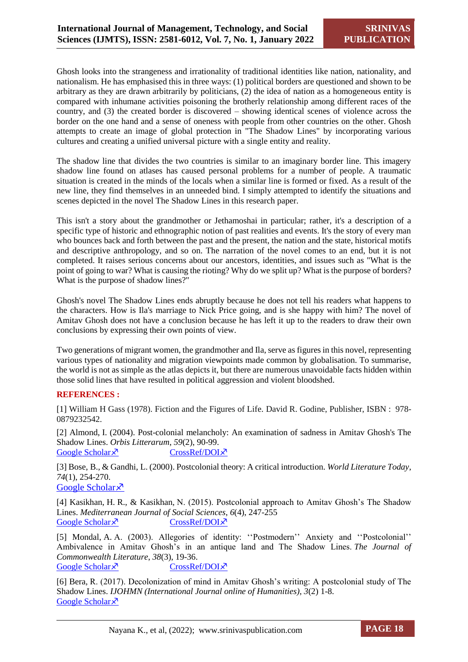Ghosh looks into the strangeness and irrationality of traditional identities like nation, nationality, and nationalism. He has emphasised this in three ways: (1) political borders are questioned and shown to be arbitrary as they are drawn arbitrarily by politicians, (2) the idea of nation as a homogeneous entity is compared with inhumane activities poisoning the brotherly relationship among different races of the country, and (3) the created border is discovered – showing identical scenes of violence across the border on the one hand and a sense of oneness with people from other countries on the other. Ghosh attempts to create an image of global protection in "The Shadow Lines" by incorporating various cultures and creating a unified universal picture with a single entity and reality.

The shadow line that divides the two countries is similar to an imaginary border line. This imagery shadow line found on atlases has caused personal problems for a number of people. A traumatic situation is created in the minds of the locals when a similar line is formed or fixed. As a result of the new line, they find themselves in an unneeded bind. I simply attempted to identify the situations and scenes depicted in the novel The Shadow Lines in this research paper.

This isn't a story about the grandmother or Jethamoshai in particular; rather, it's a description of a specific type of historic and ethnographic notion of past realities and events. It's the story of every man who bounces back and forth between the past and the present, the nation and the state, historical motifs and descriptive anthropology, and so on. The narration of the novel comes to an end, but it is not completed. It raises serious concerns about our ancestors, identities, and issues such as "What is the point of going to war? What is causing the rioting? Why do we split up? What is the purpose of borders? What is the purpose of shadow lines?"

Ghosh's novel The Shadow Lines ends abruptly because he does not tell his readers what happens to the characters. How is Ila's marriage to Nick Price going, and is she happy with him? The novel of Amitav Ghosh does not have a conclusion because he has left it up to the readers to draw their own conclusions by expressing their own points of view.

Two generations of migrant women, the grandmother and Ila, serve as figures in this novel, representing various types of nationality and migration viewpoints made common by globalisation. To summarise, the world is not as simple as the atlas depicts it, but there are numerous unavoidable facts hidden within those solid lines that have resulted in political aggression and violent bloodshed.

#### **REFERENCES :**

[1] William H Gass (1978). Fiction and the Figures of Life. David R. Godine, Publisher, ISBN : 978- 0879232542.

[2] Almond, I. (2004). Post-colonial melancholy: An examination of sadness in Amitav Ghosh's The Shadow Lines. *Orbis Litterarum*, *59*(2), 90-99. [Google Scholar](https://onlinelibrary.wiley.com/doi/abs/10.1111/j.0105-7510.2004.00798.x)  $\times$  [CrossRef/DOI](https://sci-hub.mksa.top/https:/doi.org/10.1111/j.0105-7510.2004.00798.x) $\times$ 

[3] Bose, B., & Gandhi, L. (2000). Postcolonial theory: A critical introduction. *World Literature Today*, *74*(1), 254-270. [Google Scholar](https://www.proquest.com/openview/0b66a1821fbbbbf528bb9846276be481/1?pq-origsite=gscholar&cbl=243)<sup> $\lambda$ </sup>

[4] Kasikhan, H. R., & Kasikhan, N. (2015). Postcolonial approach to Amitav Ghosh's The Shadow Lines. *Mediterranean Journal of Social Sciences*, *6*(4), 247-255 [Google Scholar](https://www.richtmann.org/journal/index.php/mjss/article/view/7285)  $\lambda$  [CrossRef/DOI](https://sci-hub.mksa.top/10.5901/mjss.2015.v6n4s3p247) $\lambda$ 

[5] Mondal, A. A. (2003). Allegories of identity: ''Postmodern'' Anxiety and ''Postcolonial'' Ambivalence in Amitav Ghosh's in an antique land and The Shadow Lines. *The Journal of Commonwealth Literature*, *38*(3), 19-36. [Google Scholar](https://journals.sagepub.com/doi/abs/10.1177/00219894030383003)  $\times$  [CrossRef/DOI](file:///C:/Users/P.S.%20Aithal/Downloads/doi.org/10.1177/00219894030383003) $\times$ 

[6] Bera, R. (2017). Decolonization of mind in Amitav Ghosh's writing: A postcolonial study of The Shadow Lines. *IJOHMN (International Journal online of Humanities)*, *3*(2) 1-8. [Google Scholar](https://d1wqtxts1xzle7.cloudfront.net/59956559/document_320190708-45484-9r02of-with-cover-page-v2.pdf?Expires=1634799274&Signature=AQ3M-hqjgBPt6OAPnJ1DpUAu6X28dx64PgffnUU1idjIrs6gaiKW0X4tdxMjO2EQ87cdZzjSYwT29J1YkXvt4SBqsA5HWDwIeIPSBjcpEaY4zg~abysWTrDLIeIUC) ×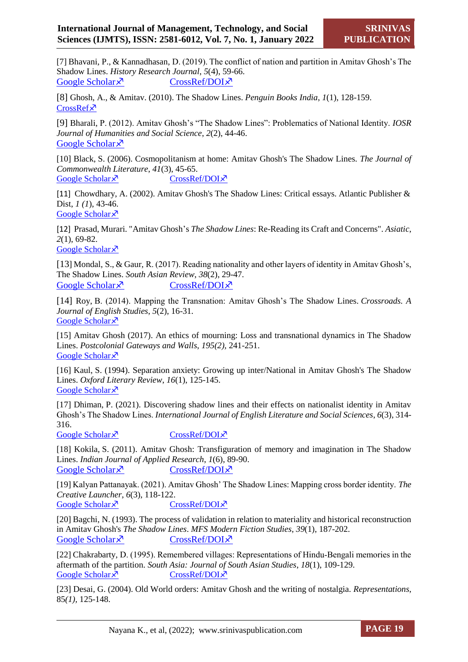[7] Bhavani, P., & Kannadhasan, D. (2019). The conflict of nation and partition in Amitav Ghosh's The Shadow Lines. *History Research Journal*, *5*(4), 59-66. [Google Scholar](https://thematicsjournals.org/index.php/hrj/article/view/7117)  $\times$  [CrossRef/DOI](https://thematicsjournals.org/index.php/hrj/article/view/7117/3331) $\times$ 

[8] Ghosh, A., & Amitav. (2010). The Shadow Lines. *Penguin Books India*, *1*(1), 128-159. [CrossRef](https://www.scribd.com/book/380707022/The-Shadow-Lines-A-Novel)<sup>x</sup>

[9] Bharali, P. (2012). Amitav Ghosh's "The Shadow Lines": Problematics of National Identity. *IOSR Journal of Humanities and Social Science*, *2*(2), 44-46. [Google Scholar](https://d1wqtxts1xzle7.cloudfront.net/55978287/shadow_lines_4-with-cover-page-v2.pdf?Expires=1634799633&Signature=NUPNLwWZa67o3HuIViipU7KaMheBFAYL0dIgCn8MprCm8FSj453KFYtQWONk23jMNh7POv-1G7AiN~0s4IF~Xml~FUaZCF0U2hnErkSYJQ2IZgzFnuCNEhbifGvM7bVVWJYFAe761uPN9Q)<sup> $\lambda$ </sup>

[10] Black, S. (2006). Cosmopolitanism at home: Amitav Ghosh's The Shadow Lines. *The Journal of Commonwealth Literature*, *41*(3), 45-65. [Google Scholar](https://journals.sagepub.com/doi/abs/10.1177/0021989406068734)  $\times$  [CrossRef/DOI](https://sci-hub.mksa.top/10.1177/0021989406068734) $\times$ 

[11] Chowdhary, A. (2002). Amitav Ghosh's The Shadow Lines: Critical essays. Atlantic Publisher & Dist, *1 (1*), 43-46.

[Google Scholar](https://www.google.co.in/books/edition/Amitav_Ghosh_s_The_Shadow_Lines/agCGtUlIZR4C?hl=en&gbpv=0) ×

[12] Prasad, Murari. "Amitav Ghosh's *The Shadow Lines*: Re-Reading its Craft and Concerns". *Asiatic*, *2*(1), 69-82.

[Google Scholar](hthttps://journals.iium.edu.my/asiatic/index.php/ajell/article/view/364) ×

[13] Mondal, S., & Gaur, R. (2017). Reading nationality and other layers of identity in Amitav Ghosh's, The Shadow Lines. *South Asian Review*, *38*(2), 29-47. [Google Scholar](https://www.tandfonline.com/doi/abs/10.1080/02759527.2017.12002559)  $\times$  [CrossRef/DOI](https://sci-hub.mksa.top/10.1080/02759527.2017.12002559) $\times$ 

[14] Roy, B. (2014). Mapping the Transnation: Amitav Ghosh's The Shadow Lines. *Crossroads. A Journal of English Studies*, *5*(2), 16-31. [Google Scholar](https://www.ceeol.com/search/article-detail?id=287250) ×

[15] Amitav Ghosh (2017). An ethics of mourning: Loss and transnational dynamics in The Shadow Lines. *Postcolonial Gateways and Walls*, *195(2),* 241-251. [Google Scholar](https://brill.com/view/book/edcoll/9789004337688/B9789004337688-s016.xml) ×

[16] Kaul, S. (1994). Separation anxiety: Growing up inter/National in Amitav Ghosh's The Shadow Lines. *Oxford Literary Review*, *16*(1), 125-145. [Google Scholar](https://www.euppublishing.com/doi/abs/10.3366/olr.1994.005) ×

[17] Dhiman, P. (2021). Discovering shadow lines and their effects on nationalist identity in Amitav Ghosh's The Shadow Lines. *International Journal of English Literature and Social Sciences*, *6*(3), 314- 316.

[Google Scholar](https://ijels.com/detail/discovering-shadow-lines-and-their-effects-on-nationalist-identity-in-amitav-ghosh-s-the-shadow-lines/)  $\lambda$  [CrossRef/DOI](https://ijels.com/upload_document/issue_files/43IJELS-106202110-Discovering.pdf) $\lambda$ 

[18] Kokila, S. (2011). Amitav Ghosh: Transfiguration of memory and imagination in The Shadow Lines. *Indian Journal of Applied Research*, *1*(6), 89-90. [Google Scholar](https://www.worldwidejournals.com/indian-journal-of-applied-research-(IJAR)/fileview/March_2012_1356939036_ad4c2_File%2029.pdf__29.pdf)  $\bar{x}$  [CrossRef/DOI](https://www.worldwidejournals.com/indian-journal-of-applied-research-(IJAR)/fileview/March_2012_1356939036_ad4c2_File%2029.pdf__29.pdf) $\bar{x}$ 

[19] Kalyan Pattanayak. (2021). Amitav Ghosh' The Shadow Lines: Mapping cross border identity. *The Creative Launcher*, *6*(3), 118-122.

[Google Scholar](http://www.thecreativelauncher.com/index.php/tcl/article/view/25)  $\lambda$  [CrossRef/DOI](https://doi.org/10.53032/TCL.2021.6.3.23) $\lambda$ 

[20] Bagchi, N. (1993). The process of validation in relation to materiality and historical reconstruction in Amitav Ghosh's *The Shadow Lines*. *MFS Modern Fiction Studies*, *39*(1), 187-202. [Google Scholar](https://www.jstor.org/stable/26284403)  $\times$  [CrossRef/DOI](https://sci-hub.mksa.top/) $\times$ 

[22] Chakrabarty, D. (1995). Remembered villages: Representations of Hindu-Bengali memories in the aftermath of the partition. *South Asia: Journal of South Asian Studies*, *18*(1), 109-129. [Google Scholar](https://www.tandfonline.com/doi/abs/10.1080/00856409508723247?journalCode=csas20)  $\times$  [CrossRef/DOI](https://sci-hub.mksa.top/10.1080/00856409508723247) $\times$ 

[23] Desai, G. (2004). Old World orders: Amitav Ghosh and the writing of nostalgia. *Representations*, 85*(1),* 125-148.